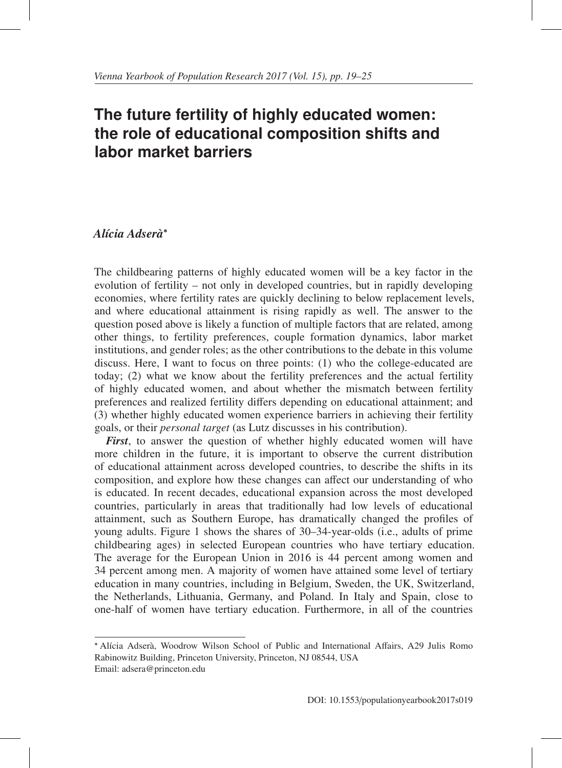# **The future fertility of highly educated women: the role of educational composition shifts and labor market barriers**

## *Al´ıcia Adsera`*<sup>∗</sup>

The childbearing patterns of highly educated women will be a key factor in the evolution of fertility – not only in developed countries, but in rapidly developing economies, where fertility rates are quickly declining to below replacement levels, and where educational attainment is rising rapidly as well. The answer to the question posed above is likely a function of multiple factors that are related, among other things, to fertility preferences, couple formation dynamics, labor market institutions, and gender roles; as the other contributions to the debate in this volume discuss. Here, I want to focus on three points: (1) who the college-educated are today; (2) what we know about the fertility preferences and the actual fertility of highly educated women, and about whether the mismatch between fertility preferences and realized fertility differs depending on educational attainment; and (3) whether highly educated women experience barriers in achieving their fertility goals, or their *personal target* (as Lutz discusses in his contribution).

*First*, to answer the question of whether highly educated women will have more children in the future, it is important to observe the current distribution of educational attainment across developed countries, to describe the shifts in its composition, and explore how these changes can affect our understanding of who is educated. In recent decades, educational expansion across the most developed countries, particularly in areas that traditionally had low levels of educational attainment, such as Southern Europe, has dramatically changed the profiles of young adults. Figure 1 shows the shares of 30–34-year-olds (i.e., adults of prime childbearing ages) in selected European countries who have tertiary education. The average for the European Union in 2016 is 44 percent among women and 34 percent among men. A majority of women have attained some level of tertiary education in many countries, including in Belgium, Sweden, the UK, Switzerland, the Netherlands, Lithuania, Germany, and Poland. In Italy and Spain, close to one-half of women have tertiary education. Furthermore, in all of the countries

<sup>\*</sup> Alícia Adserà, Woodrow Wilson School of Public and International Affairs, A29 Julis Romo Rabinowitz Building, Princeton University, Princeton, NJ 08544, USA Email: adsera@princeton.edu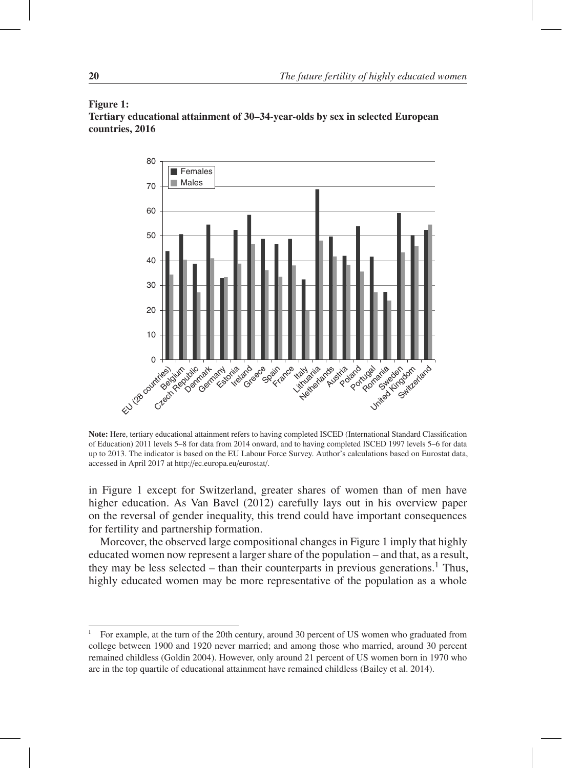## Figure 1:

Tertiary educational attainment of 30–34-year-olds by sex in selected European countries, 2016



Note: Here, tertiary educational attainment refers to having completed ISCED (International Standard Classification of Education) 2011 levels 5–8 for data from 2014 onward, and to having completed ISCED 1997 levels 5–6 for data up to 2013. The indicator is based on the EU Labour Force Survey. Author's calculations based on Eurostat data, accessed in April 2017 at http://ec.europa.eu/eurostat/.

in Figure 1 except for Switzerland, greater shares of women than of men have higher education. As Van Bavel (2012) carefully lays out in his overview paper on the reversal of gender inequality, this trend could have important consequences for fertility and partnership formation.

Moreover, the observed large compositional changes in Figure 1 imply that highly educated women now represent a larger share of the population – and that, as a result, they may be less selected – than their counterparts in previous generations.<sup>1</sup> Thus, highly educated women may be more representative of the population as a whole

<sup>1</sup> For example, at the turn of the 20th century, around 30 percent of US women who graduated from college between 1900 and 1920 never married; and among those who married, around 30 percent remained childless (Goldin 2004). However, only around 21 percent of US women born in 1970 who are in the top quartile of educational attainment have remained childless (Bailey et al. 2014).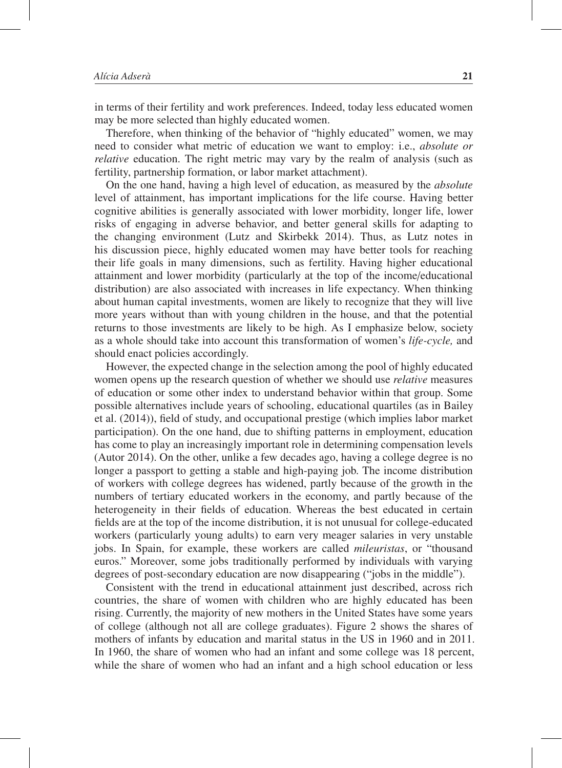in terms of their fertility and work preferences. Indeed, today less educated women may be more selected than highly educated women.

Therefore, when thinking of the behavior of "highly educated" women, we may need to consider what metric of education we want to employ: i.e., *absolute or relative* education. The right metric may vary by the realm of analysis (such as fertility, partnership formation, or labor market attachment).

On the one hand, having a high level of education, as measured by the *absolute* level of attainment, has important implications for the life course. Having better cognitive abilities is generally associated with lower morbidity, longer life, lower risks of engaging in adverse behavior, and better general skills for adapting to the changing environment (Lutz and Skirbekk 2014). Thus, as Lutz notes in his discussion piece, highly educated women may have better tools for reaching their life goals in many dimensions, such as fertility. Having higher educational attainment and lower morbidity (particularly at the top of the income/educational distribution) are also associated with increases in life expectancy. When thinking about human capital investments, women are likely to recognize that they will live more years without than with young children in the house, and that the potential returns to those investments are likely to be high. As I emphasize below, society as a whole should take into account this transformation of women's *life-cycle,* and should enact policies accordingly.

However, the expected change in the selection among the pool of highly educated women opens up the research question of whether we should use *relative* measures of education or some other index to understand behavior within that group. Some possible alternatives include years of schooling, educational quartiles (as in Bailey et al. (2014)), field of study, and occupational prestige (which implies labor market participation). On the one hand, due to shifting patterns in employment, education has come to play an increasingly important role in determining compensation levels (Autor 2014). On the other, unlike a few decades ago, having a college degree is no longer a passport to getting a stable and high-paying job. The income distribution of workers with college degrees has widened, partly because of the growth in the numbers of tertiary educated workers in the economy, and partly because of the heterogeneity in their fields of education. Whereas the best educated in certain fields are at the top of the income distribution, it is not unusual for college-educated workers (particularly young adults) to earn very meager salaries in very unstable jobs. In Spain, for example, these workers are called *mileuristas*, or "thousand euros." Moreover, some jobs traditionally performed by individuals with varying degrees of post-secondary education are now disappearing ("jobs in the middle").

Consistent with the trend in educational attainment just described, across rich countries, the share of women with children who are highly educated has been rising. Currently, the majority of new mothers in the United States have some years of college (although not all are college graduates). Figure 2 shows the shares of mothers of infants by education and marital status in the US in 1960 and in 2011. In 1960, the share of women who had an infant and some college was 18 percent, while the share of women who had an infant and a high school education or less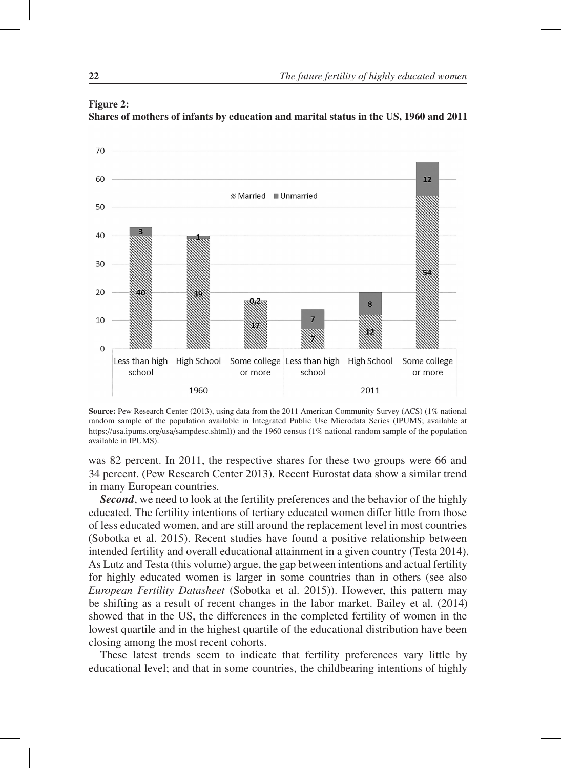

#### Figure 2: Shares of mothers of infants by education and marital status in the US, 1960 and 2011

Source: Pew Research Center (2013), using data from the 2011 American Community Survey (ACS) (1% national random sample of the population available in Integrated Public Use Microdata Series (IPUMS; available at https://usa.ipums.org/usa/sampdesc.shtml)) and the 1960 census (1% national random sample of the population available in IPUMS).

was 82 percent. In 2011, the respective shares for these two groups were 66 and 34 percent. (Pew Research Center 2013). Recent Eurostat data show a similar trend in many European countries.

*Second*, we need to look at the fertility preferences and the behavior of the highly educated. The fertility intentions of tertiary educated women differ little from those of less educated women, and are still around the replacement level in most countries (Sobotka et al. 2015). Recent studies have found a positive relationship between intended fertility and overall educational attainment in a given country (Testa 2014). As Lutz and Testa (this volume) argue, the gap between intentions and actual fertility for highly educated women is larger in some countries than in others (see also *European Fertility Datasheet* (Sobotka et al. 2015)). However, this pattern may be shifting as a result of recent changes in the labor market. Bailey et al. (2014) showed that in the US, the differences in the completed fertility of women in the lowest quartile and in the highest quartile of the educational distribution have been closing among the most recent cohorts.

These latest trends seem to indicate that fertility preferences vary little by educational level; and that in some countries, the childbearing intentions of highly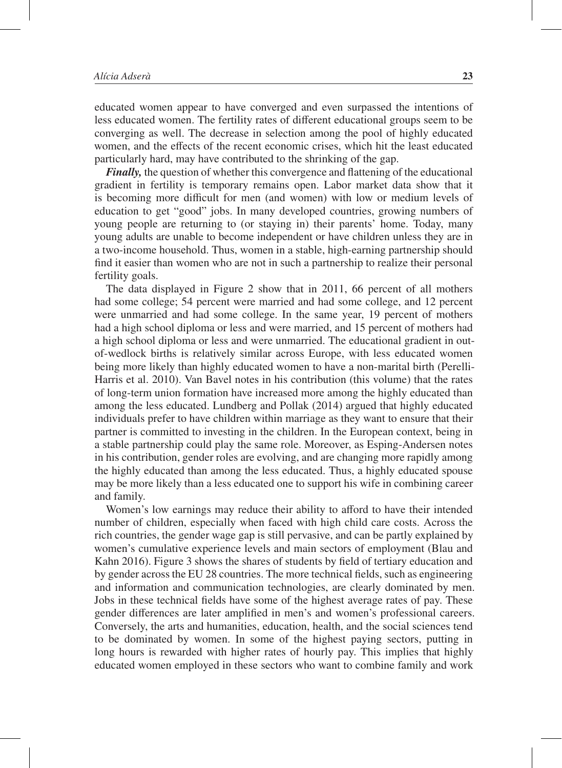educated women appear to have converged and even surpassed the intentions of less educated women. The fertility rates of different educational groups seem to be converging as well. The decrease in selection among the pool of highly educated women, and the effects of the recent economic crises, which hit the least educated particularly hard, may have contributed to the shrinking of the gap.

*Finally,* the question of whether this convergence and flattening of the educational gradient in fertility is temporary remains open. Labor market data show that it is becoming more difficult for men (and women) with low or medium levels of education to get "good" jobs. In many developed countries, growing numbers of young people are returning to (or staying in) their parents' home. Today, many young adults are unable to become independent or have children unless they are in a two-income household. Thus, women in a stable, high-earning partnership should find it easier than women who are not in such a partnership to realize their personal fertility goals.

The data displayed in Figure 2 show that in 2011, 66 percent of all mothers had some college; 54 percent were married and had some college, and 12 percent were unmarried and had some college. In the same year, 19 percent of mothers had a high school diploma or less and were married, and 15 percent of mothers had a high school diploma or less and were unmarried. The educational gradient in outof-wedlock births is relatively similar across Europe, with less educated women being more likely than highly educated women to have a non-marital birth (Perelli-Harris et al. 2010). Van Bavel notes in his contribution (this volume) that the rates of long-term union formation have increased more among the highly educated than among the less educated. Lundberg and Pollak (2014) argued that highly educated individuals prefer to have children within marriage as they want to ensure that their partner is committed to investing in the children. In the European context, being in a stable partnership could play the same role. Moreover, as Esping-Andersen notes in his contribution, gender roles are evolving, and are changing more rapidly among the highly educated than among the less educated. Thus, a highly educated spouse may be more likely than a less educated one to support his wife in combining career and family.

Women's low earnings may reduce their ability to afford to have their intended number of children, especially when faced with high child care costs. Across the rich countries, the gender wage gap is still pervasive, and can be partly explained by women's cumulative experience levels and main sectors of employment (Blau and Kahn 2016). Figure 3 shows the shares of students by field of tertiary education and by gender across the EU 28 countries. The more technical fields, such as engineering and information and communication technologies, are clearly dominated by men. Jobs in these technical fields have some of the highest average rates of pay. These gender differences are later amplified in men's and women's professional careers. Conversely, the arts and humanities, education, health, and the social sciences tend to be dominated by women. In some of the highest paying sectors, putting in long hours is rewarded with higher rates of hourly pay. This implies that highly educated women employed in these sectors who want to combine family and work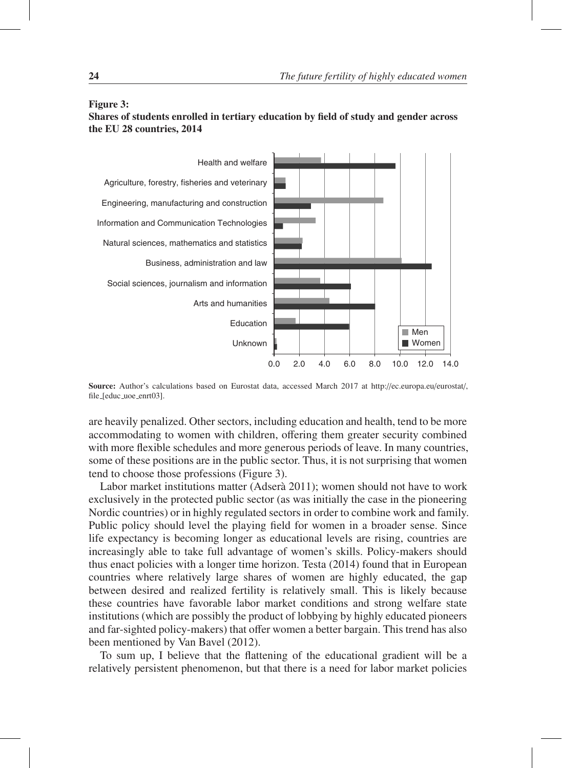#### Figure 3:

### Shares of students enrolled in tertiary education by field of study and gender across the EU 28 countries, 2014



Source: Author's calculations based on Eurostat data, accessed March 2017 at http://ec.europa.eu/eurostat/, file [educ uoe enrt03].

are heavily penalized. Other sectors, including education and health, tend to be more accommodating to women with children, offering them greater security combined with more flexible schedules and more generous periods of leave. In many countries, some of these positions are in the public sector. Thus, it is not surprising that women tend to choose those professions (Figure 3).

Labor market institutions matter (Adserà 2011); women should not have to work exclusively in the protected public sector (as was initially the case in the pioneering Nordic countries) or in highly regulated sectors in order to combine work and family. Public policy should level the playing field for women in a broader sense. Since life expectancy is becoming longer as educational levels are rising, countries are increasingly able to take full advantage of women's skills. Policy-makers should thus enact policies with a longer time horizon. Testa (2014) found that in European countries where relatively large shares of women are highly educated, the gap between desired and realized fertility is relatively small. This is likely because these countries have favorable labor market conditions and strong welfare state institutions (which are possibly the product of lobbying by highly educated pioneers and far-sighted policy-makers) that offer women a better bargain. This trend has also been mentioned by Van Bavel (2012).

To sum up, I believe that the flattening of the educational gradient will be a relatively persistent phenomenon, but that there is a need for labor market policies